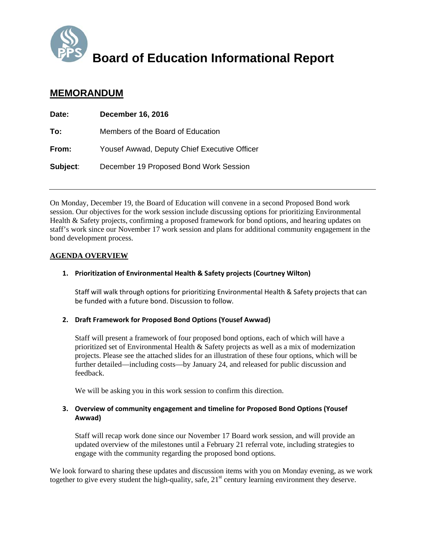

#### **Board of Education Informational Report**

#### **MEMORANDUM**

| Date:    | <b>December 16, 2016</b>                     |
|----------|----------------------------------------------|
| To:      | Members of the Board of Education            |
| From:    | Yousef Awwad, Deputy Chief Executive Officer |
| Subject: | December 19 Proposed Bond Work Session       |

On Monday, December 19, the Board of Education will convene in a second Proposed Bond work session. Our objectives for the work session include discussing options for prioritizing Environmental Health & Safety projects, confirming a proposed framework for bond options, and hearing updates on staff's work since our November 17 work session and plans for additional community engagement in the bond development process.

#### **AGENDA OVERVIEW**

#### **1. Prioritization of Environmental Health & Safety projects (Courtney Wilton)**

Staff will walk through options for prioritizing Environmental Health & Safety projects that can be funded with a future bond. Discussion to follow.

#### **2. Draft Framework for Proposed Bond Options (Yousef Awwad)**

Staff will present a framework of four proposed bond options, each of which will have a prioritized set of Environmental Health & Safety projects as well as a mix of modernization projects. Please see the attached slides for an illustration of these four options, which will be further detailed—including costs—by January 24, and released for public discussion and feedback.

We will be asking you in this work session to confirm this direction.

#### **3. Overview of community engagement and timeline for Proposed Bond Options (Yousef Awwad)**

Staff will recap work done since our November 17 Board work session, and will provide an updated overview of the milestones until a February 21 referral vote, including strategies to engage with the community regarding the proposed bond options.

We look forward to sharing these updates and discussion items with you on Monday evening, as we work together to give every student the high-quality, safe, 21<sup>st</sup> century learning environment they deserve.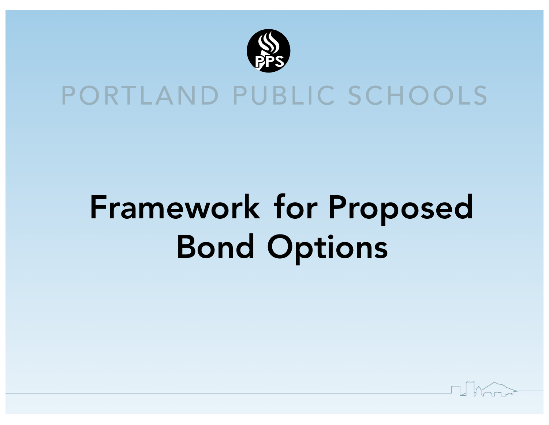

#### PORTLAND PUBLIC SCHOOLS

# Framework for Proposed Bond Options

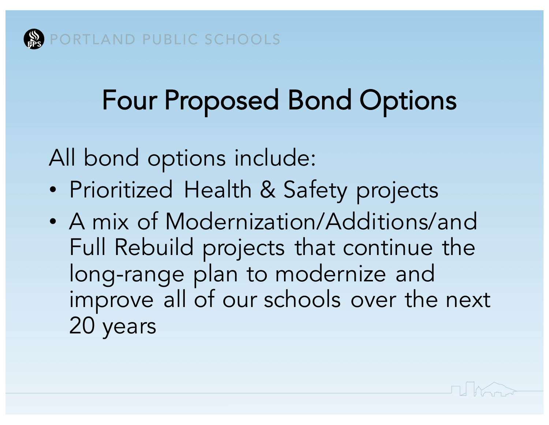## Four Proposed Bond Options

All bond options include:

- Prioritized Health & Safety projects
- A mix of Modernization/Additions/and Full Rebuild projects that continue the long-range plan to modernize and improve all of our schools over the next 20 years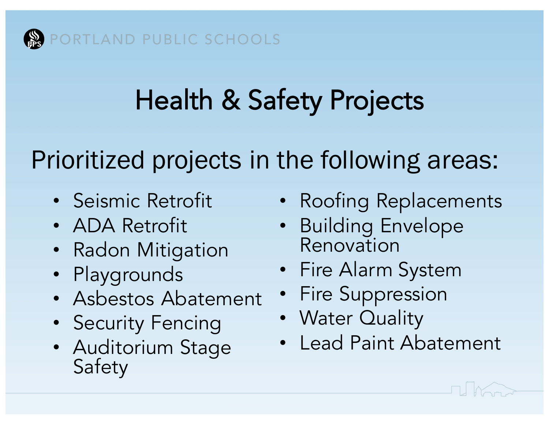## Health & Safety Projects

Prioritized projects in the following areas:

- Seismic Retrofit
- ADA Retrofit
- Radon Mitigation
- Playgrounds
- Asbestos Abatement
- Security Fencing
- Auditorium Stage Safety
- Roofing Replacements
- Building Envelope Renovation
- Fire Alarm System
- Fire Suppression
- Water Quality
- Lead Paint Abatement

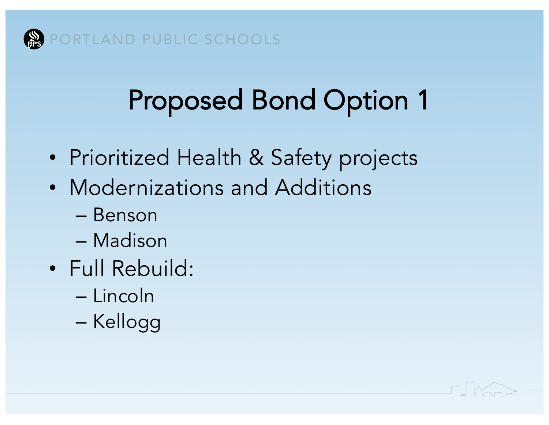

- Prioritized Health & Safety projects
- Modernizations and Additions
	- Benson
	- Madison
- Full Rebuild:
	- Lincoln
	- Kellogg

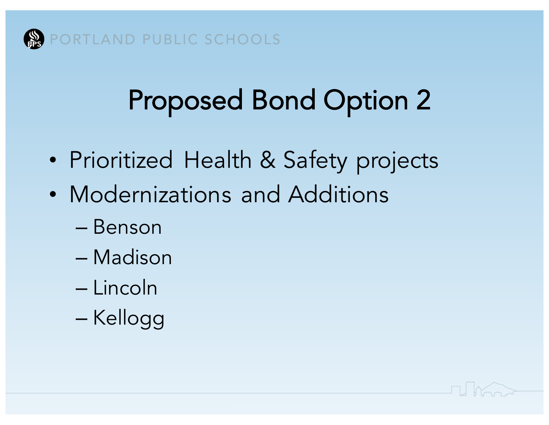

- Prioritized Health & Safety projects
- Modernizations and Additions
	- Benson
	- Madison
	- Lincoln
	- Kellogg

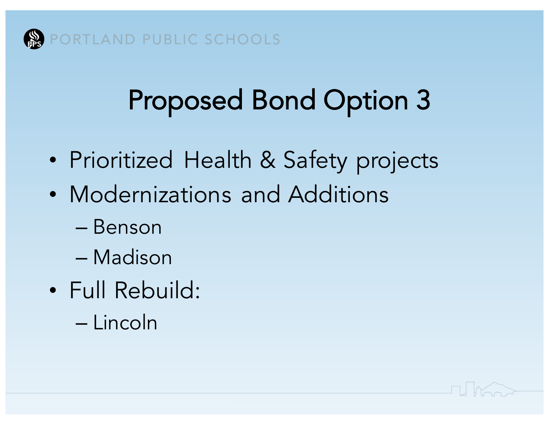

- Prioritized Health & Safety projects
- Modernizations and Additions
	- Benson
	- Madison
- Full Rebuild:
	- Lincoln

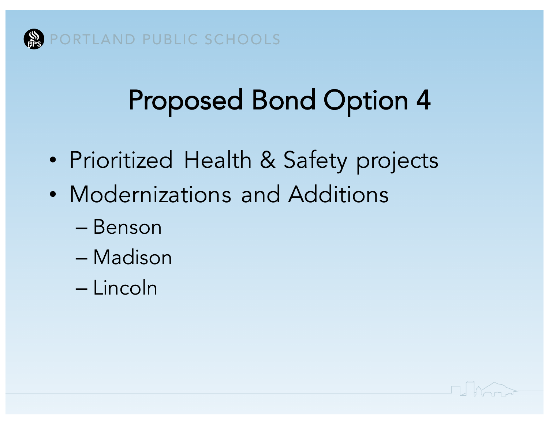

- Prioritized Health & Safety projects
- Modernizations and Additions
	- Benson
	- Madison
	- Lincoln